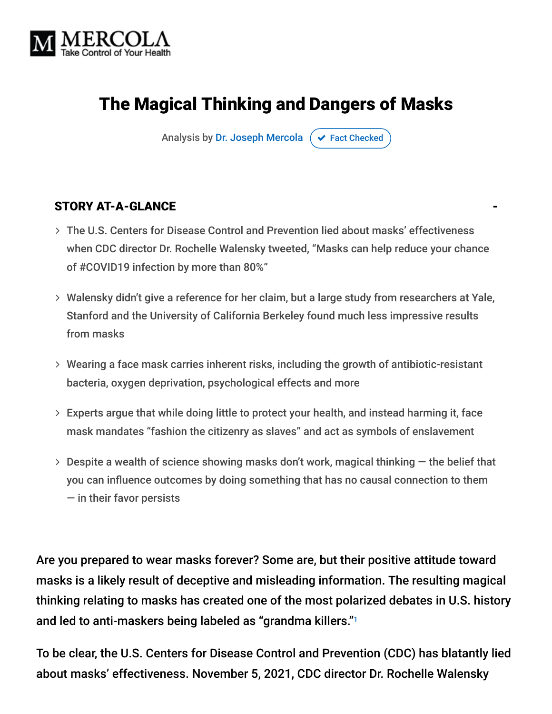

# The Magical Thinking and Dangers of Masks

Analysis by [Dr. Joseph Mercola](https://www.mercola.com/forms/background.htm)  $\sigma$  [Fact Checked](javascript:void(0))

#### STORY AT-A-GLANCE

- The U.S. Centers for Disease Control and Prevention lied about masks' effectiveness when CDC director Dr. Rochelle Walensky tweeted, "Masks can help reduce your chance of #COVID19 infection by more than 80%"
- Walensky didn't give a reference for her claim, but a large study from researchers at Yale, Stanford and the University of California Berkeley found much less impressive results from masks
- Wearing a face mask carries inherent risks, including the growth of antibiotic-resistant bacteria, oxygen deprivation, psychological effects and more
- Experts argue that while doing little to protect your health, and instead harming it, face mask mandates "fashion the citizenry as slaves" and act as symbols of enslavement
- $>$  Despite a wealth of science showing masks don't work, magical thinking  $-$  the belief that you can influence outcomes by doing something that has no causal connection to them — in their favor persists

Are you prepared to wear masks forever? Some are, but their positive attitude toward masks is a likely result of deceptive and misleading information. The resulting magical thinking relating to masks has created one of the most polarized debates in U.S. history and led to anti-maskers being labeled as "grandma killers." 1

To be clear, the U.S. Centers for Disease Control and Prevention (CDC) has blatantly lied about masks' effectiveness. November 5, 2021, CDC director Dr. Rochelle Walensky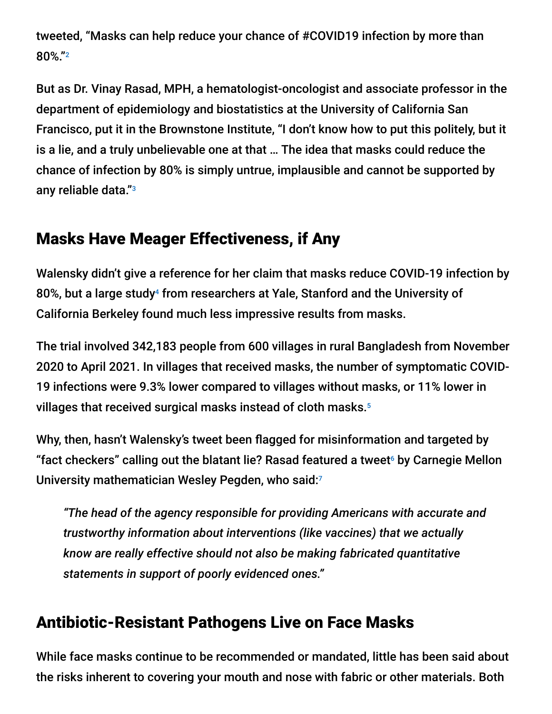tweeted, "Masks can help reduce your chance of #COVID19 infection by more than 80%." 2

But as Dr. Vinay Rasad, MPH, a hematologist-oncologist and associate professor in the department of epidemiology and biostatistics at the University of California San Francisco, put it in the Brownstone Institute, "I don't know how to put this politely, but it is a lie, and a truly unbelievable one at that … The idea that masks could reduce the chance of infection by 80% is simply untrue, implausible and cannot be supported by any reliable data." 3

### Masks Have Meager Effectiveness, if Any

Walensky didn't give a reference for her claim that masks reduce COVID-19 infection by 80%, but a large study<sup>4</sup> from researchers at Yale, Stanford and the University of California Berkeley found much less impressive results from masks.

The trial involved 342,183 people from 600 villages in rural Bangladesh from November 2020 to April 2021. In villages that received masks, the number of symptomatic COVID-19 infections were 9.3% lower compared to villages without masks, or 11% lower in villages that received surgical masks instead of cloth masks. 5

Why, then, hasn't Walensky's tweet been flagged for misinformation and targeted by "fact checkers" calling out the blatant lie? Rasad featured a tweet $^{\circ}$  by Carnegie Mellon University mathematician Wesley Pegden, who said: 7

*"The head of the agency responsible for providing Americans with accurate and trustworthy information about interventions (like vaccines) that we actually know are really effective should not also be making fabricated quantitative statements in support of poorly evidenced ones."*

### Antibiotic-Resistant Pathogens Live on Face Masks

While face masks continue to be recommended or mandated, little has been said about the risks inherent to covering your mouth and nose with fabric or other materials. Both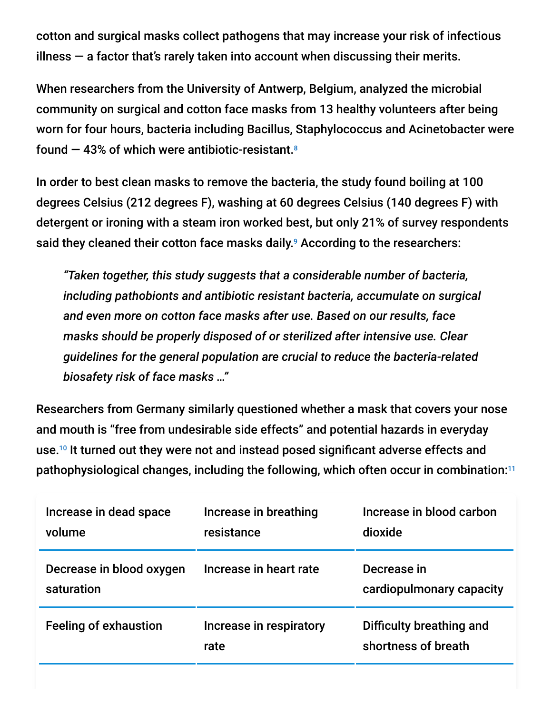cotton and surgical masks collect pathogens that may increase your risk of infectious illness  $-$  a factor that's rarely taken into account when discussing their merits.

When researchers from the University of Antwerp, Belgium, analyzed the microbial community on surgical and cotton face masks from 13 healthy volunteers after being worn for four hours, bacteria including Bacillus, Staphylococcus and Acinetobacter were found — 43% of which were antibiotic-resistant. 8

In order to best clean masks to remove the bacteria, the study found boiling at 100 degrees Celsius (212 degrees F), washing at 60 degrees Celsius (140 degrees F) with detergent or ironing with a steam iron worked best, but only 21% of survey respondents said they cleaned their cotton face masks daily.<sup>9</sup> According to the researchers:

*"Taken together, this study suggests that a considerable number of bacteria, including pathobionts and antibiotic resistant bacteria, accumulate on surgical and even more on cotton face masks after use. Based on our results, face masks should be properly disposed of or sterilized after intensive use. Clear guidelines for the general population are crucial to reduce the bacteria-related biosafety risk of face masks …"*

Researchers from Germany similarly questioned whether a mask that covers your nose and mouth is "free from undesirable side effects" and potential hazards in everyday use.<sup>10</sup> It turned out they were not and instead posed significant adverse effects and pathophysiological changes, including the following, which often occur in combination: 11

| Increase in dead space<br>volume       | Increase in breathing<br>resistance | Increase in blood carbon<br>dioxide             |
|----------------------------------------|-------------------------------------|-------------------------------------------------|
| Decrease in blood oxygen<br>saturation | Increase in heart rate              | Decrease in<br>cardiopulmonary capacity         |
| <b>Feeling of exhaustion</b>           | Increase in respiratory<br>rate     | Difficulty breathing and<br>shortness of breath |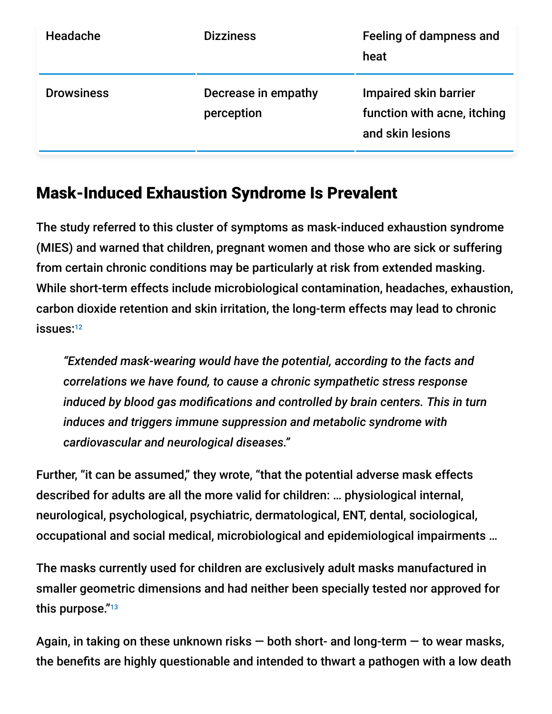| Headache          | <b>Dizziness</b>                  | Feeling of dampness and<br>heat                                                 |
|-------------------|-----------------------------------|---------------------------------------------------------------------------------|
| <b>Drowsiness</b> | Decrease in empathy<br>perception | <b>Impaired skin barrier</b><br>function with acne, itching<br>and skin lesions |

### Mask-Induced Exhaustion Syndrome Is Prevalent

The study referred to this cluster of symptoms as mask-induced exhaustion syndrome (MIES) and warned that children, pregnant women and those who are sick or suffering from certain chronic conditions may be particularly at risk from extended masking. While short-term effects include microbiological contamination, headaches, exhaustion, carbon dioxide retention and skin irritation, the long-term effects may lead to chronic issues: 12

*"Extended mask-wearing would have the potential, according to the facts and correlations we have found, to cause a chronic sympathetic stress response induced by blood gas modifications and controlled by brain centers. This in turn induces and triggers immune suppression and metabolic syndrome with cardiovascular and neurological diseases."*

Further, "it can be assumed," they wrote, "that the potential adverse mask effects described for adults are all the more valid for children: … physiological internal, neurological, psychological, psychiatric, dermatological, ENT, dental, sociological, occupational and social medical, microbiological and epidemiological impairments …

The masks currently used for children are exclusively adult masks manufactured in smaller geometric dimensions and had neither been specially tested nor approved for this purpose."<sup>13</sup>

Again, in taking on these unknown risks  $-$  both short- and long-term  $-$  to wear masks, the benefits are highly questionable and intended to thwart a pathogen with a low death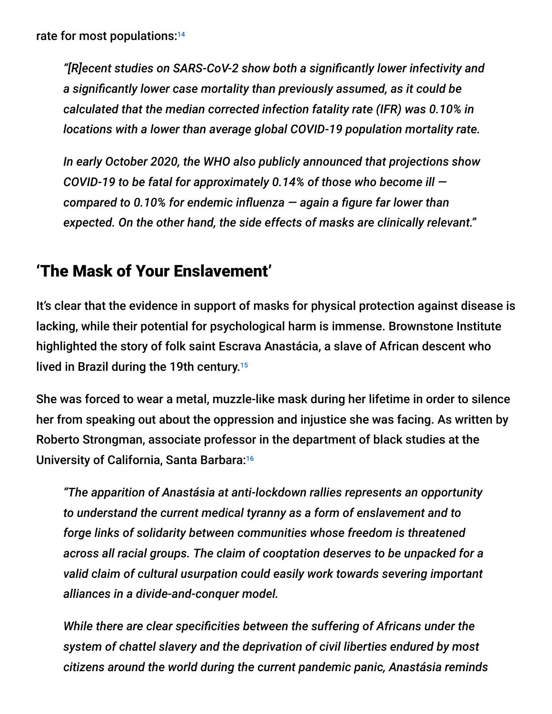*"[R]ecent studies on SARS-CoV-2 show both a significantly lower infectivity and a significantly lower case mortality than previously assumed, as it could be calculated that the median corrected infection fatality rate (IFR) was 0.10% in locations with a lower than average global COVID-19 population mortality rate.*

*In early October 2020, the WHO also publicly announced that projections show COVID-19 to be fatal for approximately 0.14% of those who become ill compared to 0.10% for endemic influenza — again a figure far lower than expected. On the other hand, the side effects of masks are clinically relevant."*

## 'The Mask of Your Enslavement'

It's clear that the evidence in support of masks for physical protection against disease is lacking, while their potential for psychological harm is immense. Brownstone Institute highlighted the story of folk saint Escrava Anastácia, a slave of African descent who lived in Brazil during the 19th century. 15

She was forced to wear a metal, muzzle-like mask during her lifetime in order to silence her from speaking out about the oppression and injustice she was facing. As written by Roberto Strongman, associate professor in the department of black studies at the University of California, Santa Barbara: 16

*"The apparition of Anastásia at anti-lockdown rallies represents an opportunity to understand the current medical tyranny as a form of enslavement and to forge links of solidarity between communities whose freedom is threatened across all racial groups. The claim of cooptation deserves to be unpacked for a valid claim of cultural usurpation could easily work towards severing important alliances in a divide-and-conquer model.*

*While there are clear specificities between the suffering of Africans under the system of chattel slavery and the deprivation of civil liberties endured by most citizens around the world during the current pandemic panic, Anastásia reminds*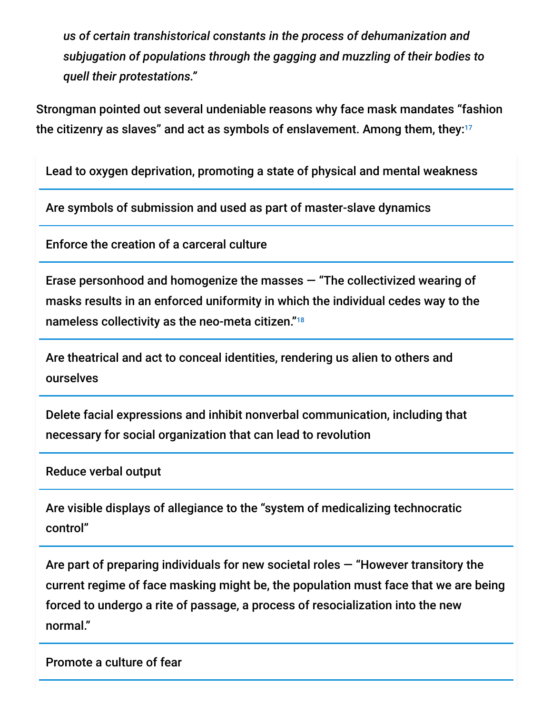*us of certain transhistorical constants in the process of dehumanization and subjugation of populations through the gagging and muzzling of their bodies to quell their protestations."*

Strongman pointed out several undeniable reasons why face mask mandates "fashion the citizenry as slaves" and act as symbols of enslavement. Among them, they: 17

Lead to oxygen deprivation, promoting a state of physical and mental weakness

Are symbols of submission and used as part of master-slave dynamics

Enforce the creation of a carceral culture

Erase personhood and homogenize the masses — "The collectivized wearing of masks results in an enforced uniformity in which the individual cedes way to the nameless collectivity as the neo-meta citizen." 18

Are theatrical and act to conceal identities, rendering us alien to others and ourselves

Delete facial expressions and inhibit nonverbal communication, including that necessary for social organization that can lead to revolution

Reduce verbal output

Are visible displays of allegiance to the "system of medicalizing technocratic control"

Are part of preparing individuals for new societal roles — "However transitory the current regime of face masking might be, the population must face that we are being forced to undergo a rite of passage, a process of resocialization into the new normal."

Promote a culture of fear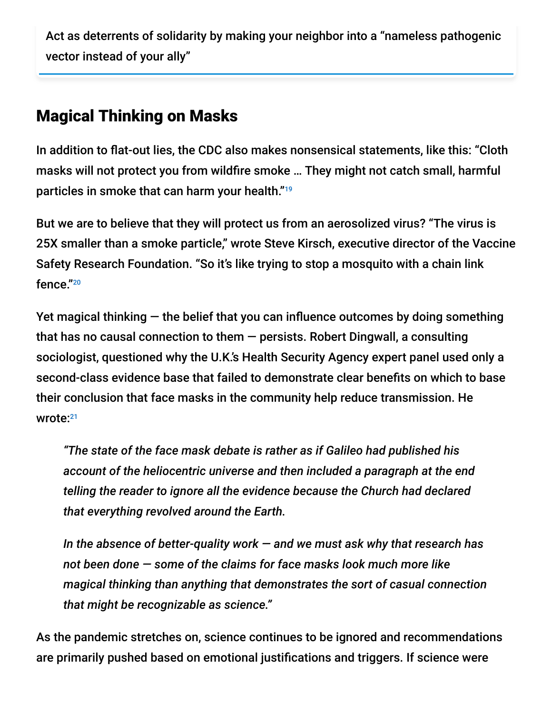Act as deterrents of solidarity by making your neighbor into a "nameless pathogenic vector instead of your ally"

#### Magical Thinking on Masks

In addition to flat-out lies, the CDC also makes nonsensical statements, like this: "Cloth masks will not protect you from wildfire smoke … They might not catch small, harmful particles in smoke that can harm your health." 19

But we are to believe that they will protect us from an aerosolized virus? "The virus is 25X smaller than a smoke particle," wrote Steve Kirsch, executive director of the Vaccine Safety Research Foundation. "So it's like trying to stop a mosquito with a chain link fence." 20

Yet magical thinking  $-$  the belief that you can influence outcomes by doing something that has no causal connection to them  $-$  persists. Robert Dingwall, a consulting sociologist, questioned why the U.K.'s Health Security Agency expert panel used only a second-class evidence base that failed to demonstrate clear benefits on which to base their conclusion that face masks in the community help reduce transmission. He wrote: 21

*"The state of the face mask debate is rather as if Galileo had published his account of the heliocentric universe and then included a paragraph at the end telling the reader to ignore all the evidence because the Church had declared that everything revolved around the Earth.*

*In the absence of better-quality work — and we must ask why that research has not been done — some of the claims for face masks look much more like magical thinking than anything that demonstrates the sort of casual connection that might be recognizable as science."*

As the pandemic stretches on, science continues to be ignored and recommendations are primarily pushed based on emotional justifications and triggers. If science were